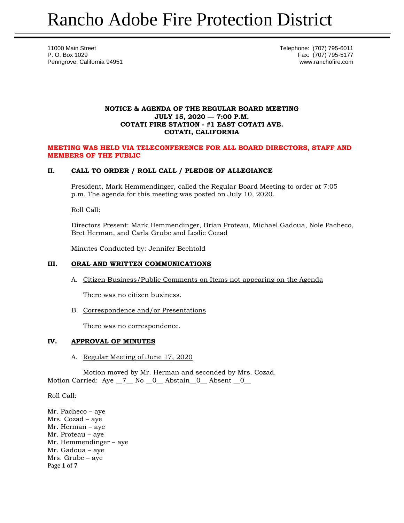11000 Main Street **Telephone:** (707) 795-6011 P. O. Box 1029 Fax: (707) 795-5177 Penngrove, California 94951 www.ranchofire.com

## **NOTICE & AGENDA OF THE REGULAR BOARD MEETING JULY 15, 2020 — 7:00 P.M. COTATI FIRE STATION - #1 EAST COTATI AVE. COTATI, CALIFORNIA**

#### **MEETING WAS HELD VIA TELECONFERENCE FOR ALL BOARD DIRECTORS, STAFF AND MEMBERS OF THE PUBLIC**

# **II. CALL TO ORDER / ROLL CALL / PLEDGE OF ALLEGIANCE**

President, Mark Hemmendinger, called the Regular Board Meeting to order at 7:05 p.m. The agenda for this meeting was posted on July 10, 2020.

### Roll Call:

Directors Present: Mark Hemmendinger, Brian Proteau, Michael Gadoua, Nole Pacheco, Bret Herman, and Carla Grube and Leslie Cozad

Minutes Conducted by: Jennifer Bechtold

## **III. ORAL AND WRITTEN COMMUNICATIONS**

A. Citizen Business/Public Comments on Items not appearing on the Agenda

There was no citizen business.

B. Correspondence and/or Presentations

There was no correspondence.

# **IV. APPROVAL OF MINUTES**

A. Regular Meeting of June 17, 2020

Motion moved by Mr. Herman and seconded by Mrs. Cozad. Motion Carried: Aye \_7\_ No \_0\_ Abstain \_0\_ Absent \_0\_

### Roll Call:

Page **1** of **7** Mr. Pacheco – aye Mrs. Cozad – aye Mr. Herman – aye Mr. Proteau – aye Mr. Hemmendinger – aye Mr. Gadoua – aye Mrs. Grube – aye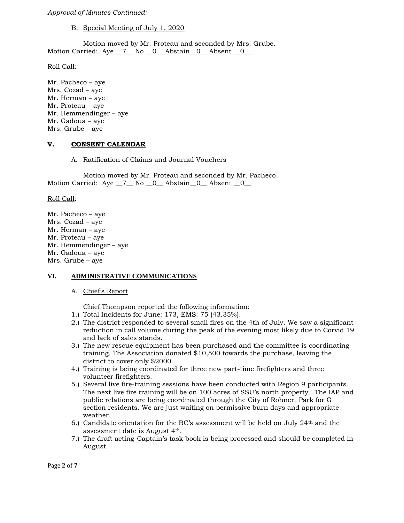*Approval of Minutes Continued:*

B. Special Meeting of July 1, 2020

Motion moved by Mr. Proteau and seconded by Mrs. Grube. Motion Carried: Aye \_7\_ No \_0\_ Abstain\_0\_ Absent \_0\_

Roll Call:

Mr. Pacheco – aye Mrs. Cozad – aye Mr. Herman – aye Mr. Proteau – aye Mr. Hemmendinger – aye Mr. Gadoua – aye Mrs. Grube – aye

# **V. CONSENT CALENDAR**

## A. Ratification of Claims and Journal Vouchers

Motion moved by Mr. Proteau and seconded by Mr. Pacheco. Motion Carried: Aye \_7\_ No \_0\_ Abstain\_0\_ Absent \_0\_

Roll Call:

Mr. Pacheco – aye Mrs. Cozad – aye Mr. Herman – aye Mr. Proteau – aye Mr. Hemmendinger – aye Mr. Gadoua – aye Mrs. Grube – aye

### **VI. ADMINISTRATIVE COMMUNICATIONS**

#### A. Chief's Report

Chief Thompson reported the following information:

- 1.) Total Incidents for June: 173, EMS: 75 (43.35%).
- 2.) The district responded to several small fires on the 4th of July. We saw a significant reduction in call volume during the peak of the evening most likely due to Corvid 19 and lack of sales stands.
- 3.) The new rescue equipment has been purchased and the committee is coordinating training. The Association donated \$10,500 towards the purchase, leaving the district to cover only \$2000.
- 4.) Training is being coordinated for three new part-time firefighters and three volunteer firefighters.
- 5.) Several live fire-training sessions have been conducted with Region 9 participants. The next live fire training will be on 100 acres of SSU's north property. The IAP and public relations are being coordinated through the City of Rohnert Park for G section residents. We are just waiting on permissive burn days and appropriate weather.
- 6.) Candidate orientation for the BC's assessment will be held on July  $24<sup>th</sup>$  and the assessment date is August 4th.
- 7.) The draft acting-Captain's task book is being processed and should be completed in August.

Page **2** of **7**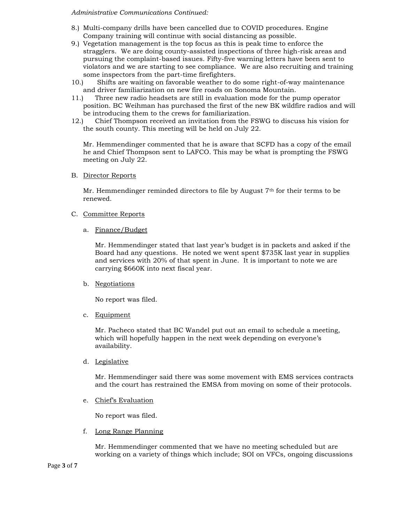*Administrative Communications Continued:*

- 8.) Multi-company drills have been cancelled due to COVID procedures. Engine Company training will continue with social distancing as possible.
- 9.) Vegetation management is the top focus as this is peak time to enforce the stragglers. We are doing county-assisted inspections of three high-risk areas and pursuing the complaint-based issues. Fifty-five warning letters have been sent to violators and we are starting to see compliance. We are also recruiting and training some inspectors from the part-time firefighters.
- 10.) Shifts are waiting on favorable weather to do some right-of-way maintenance and driver familiarization on new fire roads on Sonoma Mountain.
- 11.) Three new radio headsets are still in evaluation mode for the pump operator position. BC Weihman has purchased the first of the new BK wildfire radios and will be introducing them to the crews for familiarization.
- 12.) Chief Thompson received an invitation from the FSWG to discuss his vision for the south county. This meeting will be held on July 22.

Mr. Hemmendinger commented that he is aware that SCFD has a copy of the email he and Chief Thompson sent to LAFCO. This may be what is prompting the FSWG meeting on July 22.

B. Director Reports

Mr. Hemmendinger reminded directors to file by August  $7<sup>th</sup>$  for their terms to be renewed.

- C. Committee Reports
	- a. Finance/Budget

Mr. Hemmendinger stated that last year's budget is in packets and asked if the Board had any questions. He noted we went spent \$735K last year in supplies and services with 20% of that spent in June. It is important to note we are carrying \$660K into next fiscal year.

b. Negotiations

No report was filed.

c. Equipment

Mr. Pacheco stated that BC Wandel put out an email to schedule a meeting, which will hopefully happen in the next week depending on everyone's availability.

d. Legislative

Mr. Hemmendinger said there was some movement with EMS services contracts and the court has restrained the EMSA from moving on some of their protocols.

e. Chief's Evaluation

No report was filed.

f. Long Range Planning

Mr. Hemmendinger commented that we have no meeting scheduled but are working on a variety of things which include; SOI on VFCs, ongoing discussions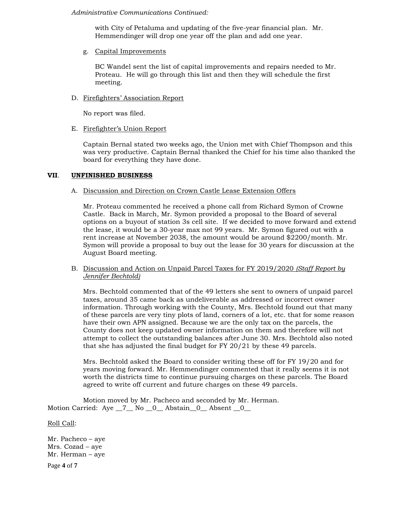### *Administrative Communications Continued:*

with City of Petaluma and updating of the five-year financial plan. Mr. Hemmendinger will drop one year off the plan and add one year.

g. Capital Improvements

BC Wandel sent the list of capital improvements and repairs needed to Mr. Proteau. He will go through this list and then they will schedule the first meeting.

## D. Firefighters' Association Report

No report was filed.

## E. Firefighter's Union Report

Captain Bernal stated two weeks ago, the Union met with Chief Thompson and this was very productive. Captain Bernal thanked the Chief for his time also thanked the board for everything they have done.

## **VII**. **UNFINISHED BUSINESS**

## A. Discussion and Direction on Crown Castle Lease Extension Offers

Mr. Proteau commented he received a phone call from Richard Symon of Crowne Castle. Back in March, Mr. Symon provided a proposal to the Board of several options on a buyout of station 3s cell site. If we decided to move forward and extend the lease, it would be a 30-year max not 99 years. Mr. Symon figured out with a rent increase at November 2038, the amount would be around \$2200/month. Mr. Symon will provide a proposal to buy out the lease for 30 years for discussion at the August Board meeting.

## B. Discussion and Action on Unpaid Parcel Taxes for FY 2019/2020 *(Staff Report by Jennifer Bechtold)*

Mrs. Bechtold commented that of the 49 letters she sent to owners of unpaid parcel taxes, around 35 came back as undeliverable as addressed or incorrect owner information. Through working with the County, Mrs. Bechtold found out that many of these parcels are very tiny plots of land, corners of a lot, etc. that for some reason have their own APN assigned. Because we are the only tax on the parcels, the County does not keep updated owner information on them and therefore will not attempt to collect the outstanding balances after June 30. Mrs. Bechtold also noted that she has adjusted the final budget for FY 20/21 by these 49 parcels.

Mrs. Bechtold asked the Board to consider writing these off for FY 19/20 and for years moving forward. Mr. Hemmendinger commented that it really seems it is not worth the districts time to continue pursuing charges on these parcels. The Board agreed to write off current and future charges on these 49 parcels.

Motion moved by Mr. Pacheco and seconded by Mr. Herman. Motion Carried: Aye \_7\_\_ No \_0\_\_ Abstain \_0\_\_ Absent \_0\_\_

### Roll Call:

Mr. Pacheco – aye Mrs. Cozad – aye Mr. Herman – aye

Page **4** of **7**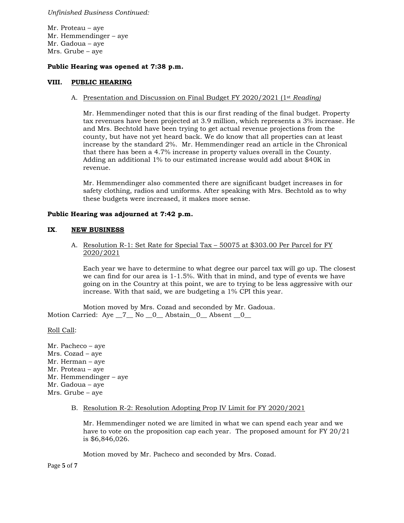*Unfinished Business Continued:*

Mr. Proteau – aye Mr. Hemmendinger – aye Mr. Gadoua – aye Mrs. Grube – aye

### **Public Hearing was opened at 7:38 p.m.**

#### **VIII. PUBLIC HEARING**

A. Presentation and Discussion on Final Budget FY 2020/2021 (1st *Reading)*

Mr. Hemmendinger noted that this is our first reading of the final budget. Property tax revenues have been projected at 3.9 million, which represents a 3% increase. He and Mrs. Bechtold have been trying to get actual revenue projections from the county, but have not yet heard back. We do know that all properties can at least increase by the standard 2%. Mr. Hemmendinger read an article in the Chronical that there has been a 4.7% increase in property values overall in the County. Adding an additional 1% to our estimated increase would add about \$40K in revenue.

Mr. Hemmendinger also commented there are significant budget increases in for safety clothing, radios and uniforms. After speaking with Mrs. Bechtold as to why these budgets were increased, it makes more sense.

#### **Public Hearing was adjourned at 7:42 p.m.**

### **IX**. **NEW BUSINESS**

A. Resolution R-1: Set Rate for Special Tax – 50075 at \$303.00 Per Parcel for FY 2020/2021

Each year we have to determine to what degree our parcel tax will go up. The closest we can find for our area is 1-1.5%. With that in mind, and type of events we have going on in the Country at this point, we are to trying to be less aggressive with our increase. With that said, we are budgeting a 1% CPI this year.

Motion moved by Mrs. Cozad and seconded by Mr. Gadoua. Motion Carried: Aye \_7\_\_ No \_0\_\_ Abstain \_0\_\_ Absent \_0\_\_

#### Roll Call:

Mr. Pacheco – aye Mrs. Cozad – aye Mr. Herman – aye Mr. Proteau – aye Mr. Hemmendinger – aye Mr. Gadoua – aye Mrs. Grube – aye

B. Resolution R-2: Resolution Adopting Prop IV Limit for FY 2020/2021

Mr. Hemmendinger noted we are limited in what we can spend each year and we have to vote on the proposition cap each year. The proposed amount for FY 20/21 is \$6,846,026.

Motion moved by Mr. Pacheco and seconded by Mrs. Cozad.

Page **5** of **7**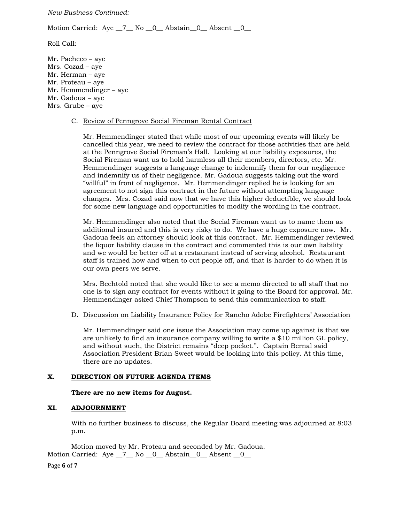### *New Business Continued:*

Motion Carried: Aye \_7\_ No \_0\_ Abstain \_0\_ Absent \_0\_

### Roll Call:

Mr. Pacheco – aye Mrs. Cozad – aye Mr. Herman – aye Mr. Proteau – aye Mr. Hemmendinger – aye Mr. Gadoua – aye Mrs. Grube – aye

#### C. Review of Penngrove Social Fireman Rental Contract

Mr. Hemmendinger stated that while most of our upcoming events will likely be cancelled this year, we need to review the contract for those activities that are held at the Penngrove Social Fireman's Hall. Looking at our liability exposures, the Social Fireman want us to hold harmless all their members, directors, etc. Mr. Hemmendinger suggests a language change to indemnify them for our negligence and indemnify us of their negligence. Mr. Gadoua suggests taking out the word "willful" in front of negligence. Mr. Hemmendinger replied he is looking for an agreement to not sign this contract in the future without attempting language changes. Mrs. Cozad said now that we have this higher deductible, we should look for some new language and opportunities to modify the wording in the contract.

Mr. Hemmendinger also noted that the Social Fireman want us to name them as additional insured and this is very risky to do. We have a huge exposure now. Mr. Gadoua feels an attorney should look at this contract. Mr. Hemmendinger reviewed the liquor liability clause in the contract and commented this is our own liability and we would be better off at a restaurant instead of serving alcohol. Restaurant staff is trained how and when to cut people off, and that is harder to do when it is our own peers we serve.

Mrs. Bechtold noted that she would like to see a memo directed to all staff that no one is to sign any contract for events without it going to the Board for approval. Mr. Hemmendinger asked Chief Thompson to send this communication to staff.

D. Discussion on Liability Insurance Policy for Rancho Adobe Firefighters' Association

Mr. Hemmendinger said one issue the Association may come up against is that we are unlikely to find an insurance company willing to write a \$10 million GL policy, and without such, the District remains "deep pocket.". Captain Bernal said Association President Brian Sweet would be looking into this policy. At this time, there are no updates.

### **X. DIRECTION ON FUTURE AGENDA ITEMS**

#### **There are no new items for August.**

### **XI. ADJOURNMENT**

With no further business to discuss, the Regular Board meeting was adjourned at 8:03 p.m.

Motion moved by Mr. Proteau and seconded by Mr. Gadoua. Motion Carried: Aye \_7\_ No \_0\_ Abstain\_0\_ Absent \_0\_

Page **6** of **7**